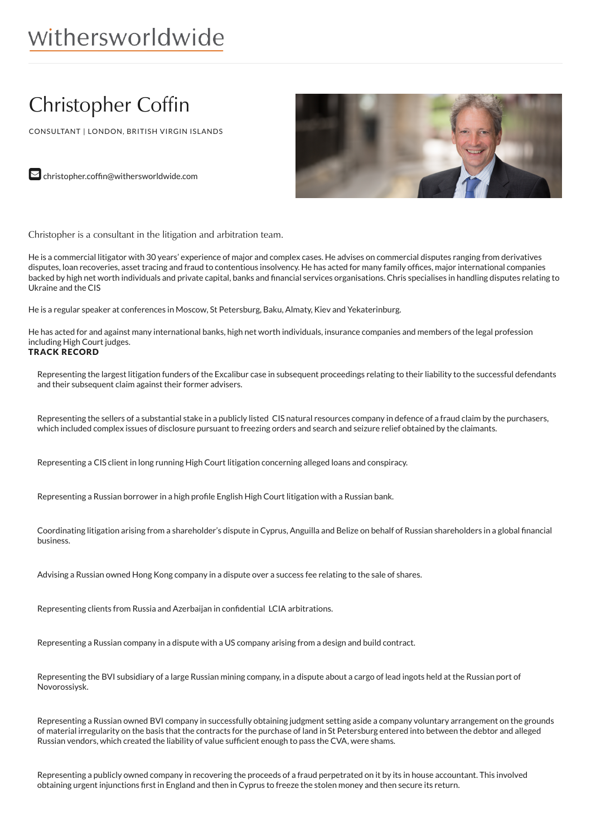# withersworldwide

# Christopher Coffin

CONSULTANT | LONDON, BRITISH VIRGIN ISLANDS



 $\triangleright$  christopher.coffin@withersworldwide.com

Christopher is a consultant in the litigation and arbitration team.

He is a commercial litigator with 30 years' experience of major and complex cases. He advises on commercial disputes ranging from derivatives disputes, loan recoveries, asset tracing and fraud to contentious insolvency. He has acted for many family offices, major international companies backed by high net worth individuals and private capital, banks and financial services organisations. Chris specialises in handling disputes relating to Ukraine and the CIS

He is a regular speaker at conferences in Moscow, St Petersburg, Baku, Almaty, Kiev and Yekaterinburg.

He has acted for and against many international banks, high net worth individuals, insurance companies and members of the legal profession including High Court judges.

# TRACK RECORD

Representing the largest litigation funders of the Excalibur case in subsequent proceedings relating to their liability to the successful defendants and their subsequent claim against their former advisers.

Representing the sellers of a substantial stake in a publicly listed CIS natural resources company in defence of a fraud claim by the purchasers, which included complex issues of disclosure pursuant to freezing orders and search and seizure relief obtained by the claimants.

Representing a CIS client in long running High Court litigation concerning alleged loans and conspiracy.

Representing a Russian borrower in a high profile English High Court litigation with a Russian bank.

Coordinating litigation arising from a shareholder's dispute in Cyprus, Anguilla and Belize on behalf of Russian shareholders in a global financial business.

Advising a Russian owned Hong Kong company in a dispute over a success fee relating to the sale of shares.

Representing clients from Russia and Azerbaijan in confidential LCIA arbitrations.

Representing a Russian company in a dispute with a US company arising from a design and build contract.

Representing the BVI subsidiary of a large Russian mining company, in a dispute about a cargo of lead ingots held at the Russian port of Novorossiysk.

Representing a Russian owned BVI company in successfully obtaining judgment setting aside a company voluntary arrangement on the grounds of material irregularity on the basis that the contracts for the purchase of land in St Petersburg entered into between the debtor and alleged Russian vendors, which created the liability of value sufficient enough to pass the CVA, were shams.

Representing a publicly owned company in recovering the proceeds of a fraud perpetrated on it by its in house accountant. This involved obtaining urgent injunctions first in England and then in Cyprus to freeze the stolen money and then secure its return.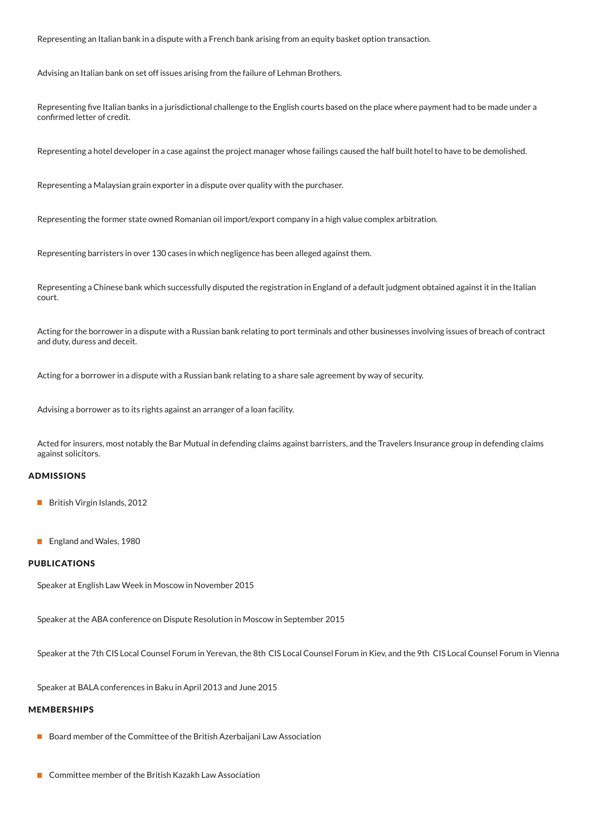Representing an Italian bank in a dispute with a French bank arising from an equity basket option transaction.

Advising an Italian bank on set off issues arising from the failure of Lehman Brothers.

Representing five Italian banks in a jurisdictional challenge to the English courts based on the place where payment had to be made under a confirmed letter of credit.

Representing a hotel developer in a case against the project manager whose failings caused the half built hotel to have to be demolished.

Representing a Malaysian grain exporter in a dispute over quality with the purchaser.

Representing the former state owned Romanian oil import/export company in a high value complex arbitration.

Representing barristers in over 130 cases in which negligence has been alleged against them.

Representing a Chinese bank which successfully disputed the registration in England of a default judgment obtained against it in the Italian court.

Acting for the borrower in a dispute with a Russian bank relating to port terminals and other businesses involving issues of breach of contract and duty, duress and deceit.

Acting for a borrower in a dispute with a Russian bank relating to a share sale agreement by way of security.

Advising a borrower as to its rights against an arranger of a loan facility.

Acted for insurers, most notably the Bar Mutual in defending claims against barristers, and the Travelers Insurance group in defending claims against solicitors.

### ADMISSIONS

- British Virgin Islands, 2012
- **England and Wales, 1980**

#### PUBLICATIONS

Speaker at English Law Week in Moscow in November 2015

Speaker at the ABA conference on Dispute Resolution in Moscow in September 2015

Speaker at the 7th CIS Local Counsel Forum in Yerevan, the 8th CIS Local Counsel Forum in Kiev, and the 9th CIS Local Counsel Forum in Vienna

Speaker at BALA conferences in Baku in April 2013 and June 2015

#### MEMBERSHIPS

- Board member of the Committee of the British Azerbaijani Law Association
- Committee member of the British Kazakh Law Association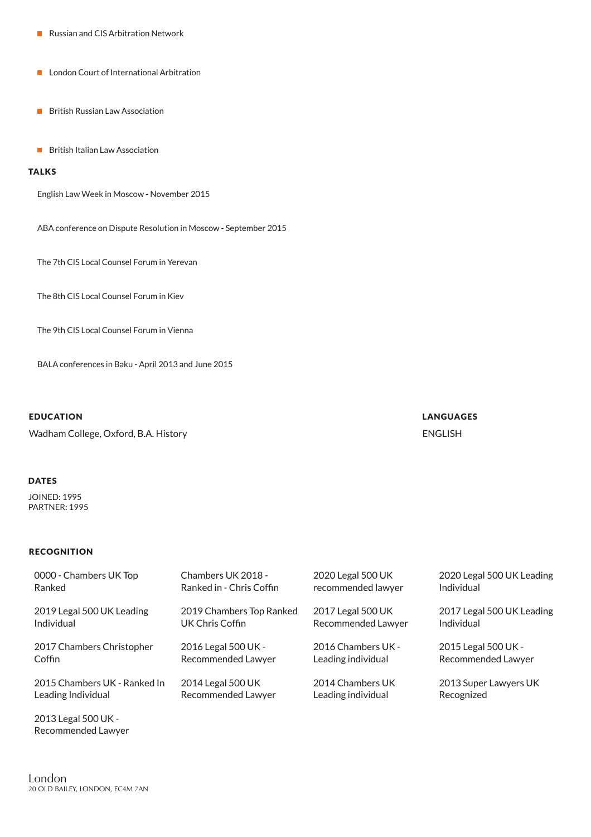- Russian and CIS Arbitration Network
- **London Court of International Arbitration**
- **British Russian Law Association**
- **British Italian Law Association**

## **TALKS**

English Law Week in Moscow - November 2015

ABA conference on Dispute Resolution in Moscow - September 2015

The 7th CIS Local Counsel Forum in Yerevan

The 8th CIS Local Counsel Forum in Kiev

The 9th CIS Local Counsel Forum in Vienna

BALA conferences in Baku - April 2013 and June 2015

#### EDUCATION

Wadham College, Oxford, B.A. History

### DATES

JOINED: 1995 PARTNER: 1995

#### RECOGNITION

| 0000 - Chambers UK Top                    | Chambers UK 2018 -       | 2020 Legal 500 UK  | 2020 Legal 500 UK Leading |
|-------------------------------------------|--------------------------|--------------------|---------------------------|
| Ranked                                    | Ranked in - Chris Coffin | recommended lawyer | Individual                |
| 2019 Legal 500 UK Leading                 | 2019 Chambers Top Ranked | 2017 Legal 500 UK  | 2017 Legal 500 UK Leading |
| Individual                                | UK Chris Coffin          | Recommended Lawyer | Individual                |
| 2017 Chambers Christopher                 | 2016 Legal 500 UK -      | 2016 Chambers UK - | 2015 Legal 500 UK -       |
| Coffin                                    | Recommended Lawyer       | Leading individual | Recommended Lawyer        |
| 2015 Chambers UK - Ranked In              | 2014 Legal 500 UK        | 2014 Chambers UK   | 2013 Super Lawyers UK     |
| Leading Individual                        | Recommended Lawyer       | Leading individual | Recognized                |
| 2013 Legal 500 UK -<br>Recommended Lawver |                          |                    |                           |

LANGUAGES ENGLISH

London 20 OLD BAILEY, LONDON, EC4M 7AN